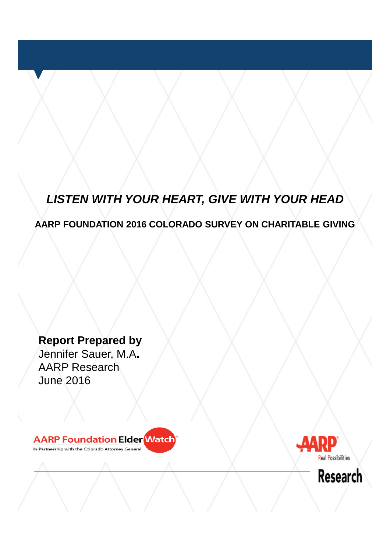# *LISTEN WITH YOUR HEART, GIVE WITH YOUR HEAD*

## **AARP FOUNDATION 2016 COLORADO SURVEY ON CHARITABLE GIVING**

**Report Prepared by** Jennifer Sauer, M.A**.** AARP Research June 2016



In Partnership with the Colorado Attorney General



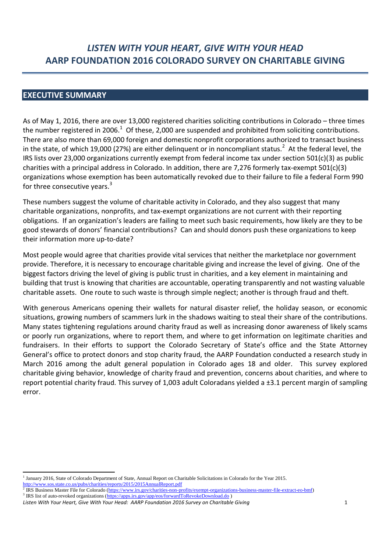## **LISTEN WITH YOUR HEART, GIVE WITH YOUR HEAD** AARP FOUNDATION 2016 COLORADO SURVEY ON CHARITABLE GIVING

## **EXECUTIVE SUMMARY**

As of May 1, 2016, there are over 13,000 registered charities soliciting contributions in Colorado – three times the number registered in 2006.<sup>1</sup> Of these, 2,000 are suspended and prohibited from soliciting contributions. There are also more than 69,000 foreign and domestic nonprofit corporations authorized to transact business in the state, of which 19,000 (27%) are either delinguent or in noncompliant status.<sup>2</sup> At the federal level, the IRS lists over 23,000 organizations currently exempt from federal income tax under section 501(c)(3) as public charities with a principal address in Colorado. In addition, there are 7,276 formerly tax-exempt  $501(c)(3)$ organizations whose exemption has been automatically revoked due to their failure to file a federal Form 990 for three consecutive years.<sup>3</sup>

These numbers suggest the volume of charitable activity in Colorado, and they also suggest that many charitable organizations, nonprofits, and tax-exempt organizations are not current with their reporting obligations. If an organization's leaders are failing to meet such basic requirements, how likely are they to be good stewards of donors' financial contributions? Can and should donors push these organizations to keep their information more up-to-date?

Most people would agree that charities provide vital services that neither the marketplace nor government provide. Therefore, it is necessary to encourage charitable giving and increase the level of giving. One of the biggest factors driving the level of giving is public trust in charities, and a key element in maintaining and building that trust is knowing that charities are accountable, operating transparently and not wasting valuable charitable assets. One route to such waste is through simple neglect; another is through fraud and theft.

With generous Americans opening their wallets for natural disaster relief, the holiday season, or economic situations, growing numbers of scammers lurk in the shadows waiting to steal their share of the contributions. Many states tightening regulations around charity fraud as well as increasing donor awareness of likely scams or poorly run organizations, where to report them, and where to get information on legitimate charities and fundraisers. In their efforts to support the Colorado Secretary of State's office and the State Attorney General's office to protect donors and stop charity fraud, the AARP Foundation conducted a research study in March 2016 among the adult general population in Colorado ages 18 and older. This survey explored charitable giving behavior, knowledge of charity fraud and prevention, concerns about charities, and where to report potential charity fraud. This survey of 1,003 adult Coloradans yielded a ±3.1 percent margin of sampling error.

<sup>&</sup>lt;sup>1</sup> January 2016, State of Colorado Department of State, Annual Report on Charitable Solicitations in Colorado for the Year 2015. http://www.sos.state.co.us/pubs/charities/reports/2015/2015AnnualReport.pdf

IRS Business Master File for Colorado (https://www.irs.gov/charities-non-profits/exempt-organizations-business-master-file-extract-eo-bmf)

<sup>&</sup>lt;sup>3</sup> IRS list of auto-revoked organizations (https://apps.irs.gov/app/eos/forwardToRevokeDownload.do) Listen With Your Heart, Give With Your Head: AARP Foundation 2016 Survey on Charitable Giving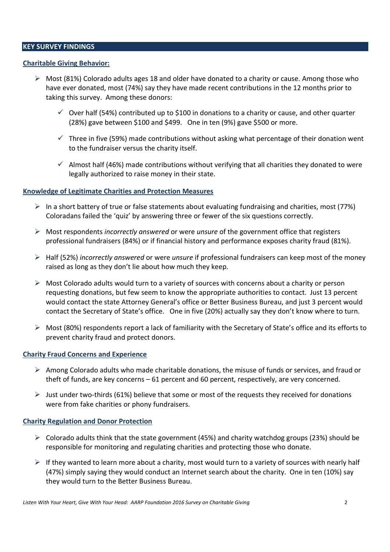## **KEY SURVEY FINDINGS**

#### **Charitable Giving Behavior:**

- $\triangleright$  Most (81%) Colorado adults ages 18 and older have donated to a charity or cause. Among those who have ever donated, most (74%) say they have made recent contributions in the 12 months prior to taking this survey. Among these donors:
	- $\checkmark$  Over half (54%) contributed up to \$100 in donations to a charity or cause, and other quarter (28%) gave between \$100 and \$499. One in ten (9%) gave \$500 or more.
	- $\checkmark$  Three in five (59%) made contributions without asking what percentage of their donation went to the fundraiser versus the charity itself.
	- $\checkmark$  Almost half (46%) made contributions without verifying that all charities they donated to were legally authorized to raise money in their state.

#### **Knowledge of Legitimate Charities and Protection Measures**

- In a short battery of true or false statements about evaluating fundraising and charities, most (77%) Coloradans failed the 'quiz' by answering three or fewer of the six questions correctly.
- $\triangleright$  Most respondents *incorrectly answered* or were *unsure* of the government office that registers professional fundraisers (84%) or if financial history and performance exposes charity fraud (81%).
- $\triangleright$  Half (52%) incorrectly answered or were unsure if professional fundraisers can keep most of the money raised as long as they don't lie about how much they keep.
- $\triangleright$  Most Colorado adults would turn to a variety of sources with concerns about a charity or person requesting donations, but few seem to know the appropriate authorities to contact. Just 13 percent would contact the state Attorney General's office or Better Business Bureau, and just 3 percent would contact the Secretary of State's office. One in five (20%) actually say they don't know where to turn.
- $\triangleright$  Most (80%) respondents report a lack of familiarity with the Secretary of State's office and its efforts to prevent charity fraud and protect donors.

#### **Charity Fraud Concerns and Experience**

- $\triangleright$  Among Colorado adults who made charitable donations, the misuse of funds or services, and fraud or theft of funds, are key concerns  $-61$  percent and 60 percent, respectively, are very concerned.
- I ust under two-thirds (61%) believe that some or most of the requests they received for donations were from fake charities or phony fundraisers.

#### **Charity Regulation and Donor Protection**

- $\triangleright$  Colorado adults think that the state government (45%) and charity watchdog groups (23%) should be responsible for monitoring and regulating charities and protecting those who donate.
- $\triangleright$  If they wanted to learn more about a charity, most would turn to a variety of sources with nearly half (47%) simply saying they would conduct an Internet search about the charity. One in ten (10%) say they would turn to the Better Business Bureau.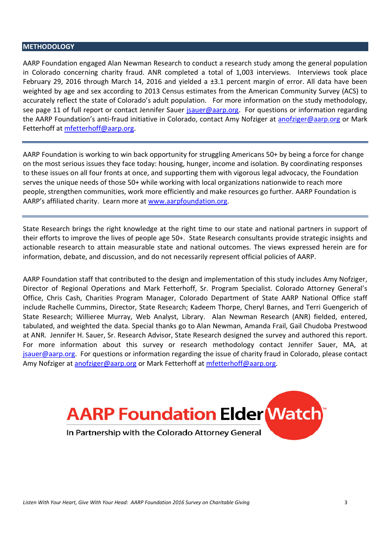#### **METHODOLOGY**

AARP Foundation engaged Alan Newman Research to conduct a research study among the general population in Colorado concerning charity fraud. ANR completed a total of 1,003 interviews. Interviews took place February 29, 2016 through March 14, 2016 and yielded a ±3.1 percent margin of error. All data have been weighted by age and sex according to 2013 Census estimates from the American Community Survey (ACS) to accurately reflect the state of Colorado's adult population. For more information on the study methodology, see page 11 of full report or contact Jennifer Sauer jsauer@aarp.org. For questions or information regarding the AARP Foundation's anti-fraud initiative in Colorado, contact Amy Nofziger at anofziger@aarp.org or Mark Fetterhoff at mfetterhoff@aarp.org.

AARP Foundation is working to win back opportunity for struggling Americans 50+ by being a force for change on the most serious issues they face today: housing, hunger, income and isolation. By coordinating responses to these issues on all four fronts at once, and supporting them with vigorous legal advocacy, the Foundation serves the unique needs of those 50+ while working with local organizations nationwide to reach more people, strengthen communities, work more efficiently and make resources go further. AARP Foundation is AARP's affiliated charity. Learn more at www.aarpfoundation.org.

State Research brings the right knowledge at the right time to our state and national partners in support of their efforts to improve the lives of people age 50+. State Research consultants provide strategic insights and actionable research to attain measurable state and national outcomes. The views expressed herein are for information, debate, and discussion, and do not necessarily represent official policies of AARP.

AARP Foundation staff that contributed to the design and implementation of this study includes Amy Nofziger, Director of Regional Operations and Mark Fetterhoff, Sr. Program Specialist. Colorado Attorney General's Office, Chris Cash, Charities Program Manager, Colorado Department of State AARP National Office staff include Rachelle Cummins, Director, State Research; Kadeem Thorpe, Cheryl Barnes, and Terri Guengerich of State Research; Willieree Murray, Web Analyst, Library. Alan Newman Research (ANR) fielded, entered, tabulated, and weighted the data. Special thanks go to Alan Newman, Amanda Frail, Gail Chudoba Prestwood at ANR. Jennifer H. Sauer, Sr. Research Advisor, State Research designed the survey and authored this report. For more information about this survey or research methodology contact Jennifer Sauer, MA, at jsauer@aarp.org. For questions or information regarding the issue of charity fraud in Colorado, please contact Amy Nofziger at anofziger@aarp.org or Mark Fetterhoff at mfetterhoff@aarp.org.

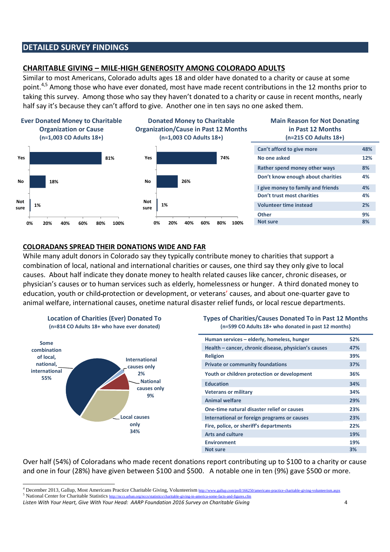## **DETAILED SURVEY FINDINGS**

## **CHARITABLE GIVING - MILE-HIGH GENEROSITY AMONG COLORADO ADULTS**

Similar to most Americans, Colorado adults ages 18 and older have donated to a charity or cause at some point.<sup>4,5</sup> Among those who have ever donated, most have made recent contributions in the 12 months prior to taking this survey. Among those who say they haven't donated to a charity or cause in recent months, nearly half say it's because they can't afford to give. Another one in ten says no one asked them.



## **COLORADANS SPREAD THEIR DONATIONS WIDE AND FAR**

While many adult donors in Colorado say they typically contribute money to charities that support a combination of local, national and international charities or causes, one third say they only give to local causes. About half indicate they donate money to health related causes like cancer, chronic diseases, or physician's causes or to human services such as elderly, homelessness or hunger. A third donated money to education, youth or child-protection or development, or veterans' causes, and about one-quarter gave to animal welfare, international causes, onetime natural disaster relief funds, or local rescue departments.





| Human services - elderly, homeless, hunger           | 52% |
|------------------------------------------------------|-----|
| Health – cancer, chronic disease, physician's causes | 47% |
| <b>Religion</b>                                      | 39% |
| <b>Private or community foundations</b>              | 37% |
| Youth or children protection or development          | 36% |
| <b>Education</b>                                     | 34% |
| <b>Veterans or military</b>                          | 34% |
| <b>Animal welfare</b>                                | 29% |
| One-time natural disaster relief or causes           | 23% |
| International or foreign programs or causes          | 23% |
| Fire, police, or sheriff's departments               | 22% |
| <b>Arts and culture</b>                              | 19% |
| <b>Environment</b>                                   | 19% |
| <b>Not sure</b>                                      | 3%  |

Over half (54%) of Coloradans who made recent donations report contributing up to \$100 to a charity or cause and one in four (28%) have given between \$100 and \$500. A notable one in ten (9%) gave \$500 or more.

<sup>&</sup>lt;sup>4</sup> December 2013, Gallup, Most Americans Practice Charitable Giving, Volunteerism http://www.gallup.com/poll/166250/americans-practice-charitable-giving-volunteerism.aspx

<sup>&</sup>lt;sup>5</sup> National Center for Charitable Statistics http://nccs.urban.org/nccs/statistics/charitable-giving-in-america-some-facts-and-figures.cfm

Listen With Your Heart, Give With Your Head: AARP Foundation 2016 Survey on Charitable Giving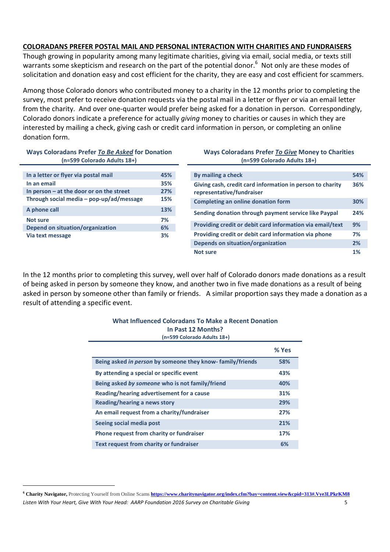## COLORADANS PREFER POSTAL MAIL AND PERSONAL INTERACTION WITH CHARITIES AND FUNDRAISERS

Though growing in popularity among many legitimate charities, giving via email, social media, or texts still warrants some skepticism and research on the part of the potential donor.<sup>6</sup> Not only are these modes of solicitation and donation easy and cost efficient for the charity, they are easy and cost efficient for scammers.

Among those Colorado donors who contributed money to a charity in the 12 months prior to completing the survey, most prefer to receive donation requests via the postal mail in a letter or flyer or via an email letter from the charity. And over one-quarter would prefer being asked for a donation in person. Correspondingly, Colorado donors indicate a preference for actually *giving* money to charities or causes in which they are interested by mailing a check, giving cash or credit card information in person, or completing an online donation form.

#### Ways Coloradans Prefer To Be Asked for Donation (n=599 Colorado Adults 18+)

| In a letter or flyer via postal mail       | 45% |
|--------------------------------------------|-----|
| In an email                                | 35% |
| In person $-$ at the door or on the street | 27% |
| Through social media - pop-up/ad/message   | 15% |
| A phone call                               | 13% |
| Not sure                                   | 7%  |
| Depend on situation/organization           | 6%  |
| Via text message                           | 3%  |

#### **Ways Coloradans Prefer To Give Money to Charities** (n=599 Colorado Adults 18+)

| By mailing a check                                                                     | 54% |
|----------------------------------------------------------------------------------------|-----|
| Giving cash, credit card information in person to charity<br>representative/fundraiser | 36% |
| Completing an online donation form                                                     | 30% |
| Sending donation through payment service like Paypal                                   | 24% |
| Providing credit or debit card information via email/text                              | 9%  |
| Providing credit or debit card information via phone                                   | 7%  |
| <b>Depends on situation/organization</b>                                               | 2%  |
| Not sure                                                                               | 1%  |

In the 12 months prior to completing this survey, well over half of Colorado donors made donations as a result of being asked in person by someone they know, and another two in five made donations as a result of being asked in person by someone other than family or friends. A similar proportion says they made a donation as a result of attending a specific event.

| what influenced Coloradans To Make a Recent Donation      |       |
|-----------------------------------------------------------|-------|
| In Past 12 Months?                                        |       |
| (n=599 Colorado Adults 18+)                               |       |
|                                                           | % Yes |
| Being asked in person by someone they know-family/friends | 58%   |
| By attending a special or specific event                  | 43%   |
| Being asked by someone who is not family/friend           | 40%   |
| Reading/hearing advertisement for a cause                 | 31%   |
| Reading/hearing a news story                              | 29%   |
| An email request from a charity/fundraiser                | 27%   |
| Seeing social media post                                  | 21%   |
| Phone request from charity or fundraiser                  | 17%   |
| Text request from charity or fundraiser                   | 6%    |

#### <sup>6</sup> Charity Navigator, Protecting Yourself from Online Scams https://www.charitynavigator.org/index.cfm?bay=content.view&cpid=313#.Vye3LPkrKM8 Listen With Your Heart, Give With Your Head: AARP Foundation 2016 Survey on Charitable Giving 5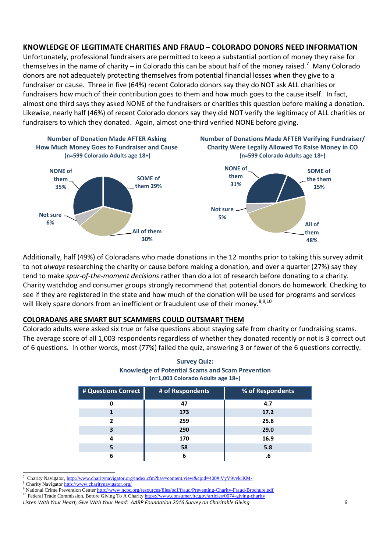## KNOWLEDGE OF LEGITIMATE CHARITIES AND FRAUD - COLORADO DONORS NEED INFORMATION

Unfortunately, professional fundraisers are permitted to keep a substantial portion of money they raise for themselves in the name of charity  $-$  in Colorado this can be about half of the money raised.<sup>7</sup> Many Colorado donors are not adequately protecting themselves from potential financial losses when they give to a fundraiser or cause. Three in five (64%) recent Colorado donors say they do NOT ask ALL charities or fundraisers how much of their contribution goes to them and how much goes to the cause itself. In fact, almost one third says they asked NONE of the fundraisers or charities this question before making a donation. Likewise, nearly half (46%) of recent Colorado donors say they did NOT verify the legitimacy of ALL charities or fundraisers to which they donated. Again, almost one-third verified NONE before giving.



Additionally, half (49%) of Coloradans who made donations in the 12 months prior to taking this survey admit to not always researching the charity or cause before making a donation, and over a quarter (27%) say they tend to make spur-of-the-moment decisions rather than do a lot of research before donating to a charity. Charity watchdog and consumer groups strongly recommend that potential donors do homework. Checking to see if they are registered in the state and how much of the donation will be used for programs and services will likely spare donors from an inefficient or fraudulent use of their money.<sup>8,9,10</sup>

## **COLORADANS ARE SMART BUT SCAMMERS COULD OUTSMART THEM**

Colorado adults were asked six true or false questions about staving safe from charity or fundraising scams. The average score of all 1,003 respondents regardless of whether they donated recently or not is 3 correct out of 6 questions. In other words, most (77%) failed the quiz, answering 3 or fewer of the 6 questions correctly.

#### **Survey Quiz: Knowledge of Potential Scams and Scam Prevention** (n=1,003 Colorado Adults age 18+)

| # Questions Correct | # of Respondents | % of Respondents |
|---------------------|------------------|------------------|
| 0                   | 47               | 4.7              |
|                     | 173              | 17.2             |
|                     | 259              | 25.8             |
| 3                   | 290              | 29.0             |
| 4                   | 170              | 16.9             |
|                     | 58               | 5.8              |
|                     | 6                |                  |

Charity Navigator, http://www.charitynavigator.org/index.cfm?bay=content.view&cpid=400#.VyV9vvkrKM-

<sup>10</sup> Federal Trade Commission, Before Giving To A Charity https://www.consumer.ftc.gov/articles/0074-giving-charity

<sup>&</sup>lt;sup>8</sup> Charity Navigator http://www.charitynavigator.org/

National Crime Prevention Center http://www.ncpc.org/resources/files/pdf/fraud/Preventing-Charity-Fraud-Brochure.pdf

Listen With Your Heart, Give With Your Head: AARP Foundation 2016 Survey on Charitable Giving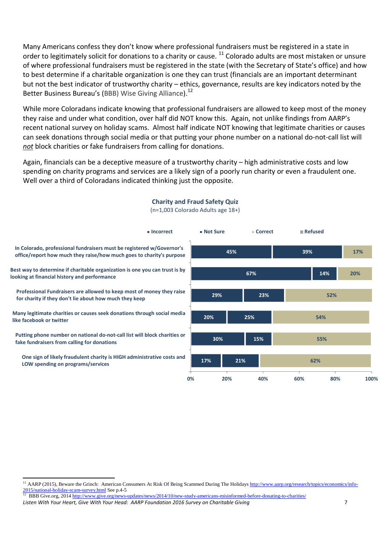Many Americans confess they don't know where professional fundraisers must be registered in a state in order to legitimately solicit for donations to a charity or cause. <sup>11</sup> Colorado adults are most mistaken or unsure of where professional fundraisers must be registered in the state (with the Secretary of State's office) and how to best determine if a charitable organization is one they can trust (financials are an important determinant but not the best indicator of trustworthy charity - ethics, governance, results are key indicators noted by the Better Business Bureau's (BBB) Wise Giving Alliance).<sup>12</sup>

While more Coloradans indicate knowing that professional fundraisers are allowed to keep most of the money they raise and under what condition, over half did NOT know this. Again, not unlike findings from AARP's recent national survey on holiday scams. Almost half indicate NOT knowing that legitimate charities or causes can seek donations through social media or that putting your phone number on a national do-not-call list will not block charities or fake fundraisers from calling for donations.

Again, financials can be a deceptive measure of a trustworthy charity - high administrative costs and low spending on charity programs and services are a likely sign of a poorly run charity or even a fraudulent one. Well over a third of Coloradans indicated thinking just the opposite.



## **Charity and Fraud Safety Quiz**

<sup>(</sup>n=1,003 Colorado Adults age 18+)

<sup>&</sup>lt;sup>11</sup> AARP (2015), Beware the Grinch: American Consumers At Risk Of Being Scammed During The Holidays http://www.aarp.org/research/topics/economics/info-2015/national-holiday-scam-survey.html See p.4-5

<sup>&</sup>lt;sup>12</sup> BBB Give.org, 2014 http://www.give.org/news-updates/news/2014/10/new-study-americans-misinformed-before-donating-to-charities/

Listen With Your Heart, Give With Your Head: AARP Foundation 2016 Survey on Charitable Giving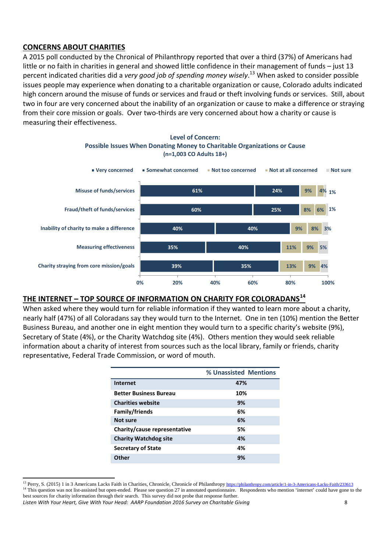## **CONCERNS ABOUT CHARITIES**

A 2015 poll conducted by the Chronical of Philanthropy reported that over a third (37%) of Americans had little or no faith in charities in general and showed little confidence in their management of funds - just 13 percent indicated charities did a very good job of spending money wisely.<sup>13</sup> When asked to consider possible issues people may experience when donating to a charitable organization or cause, Colorado adults indicated high concern around the misuse of funds or services and fraud or theft involving funds or services. Still, about two in four are very concerned about the inability of an organization or cause to make a difference or straying from their core mission or goals. Over two-thirds are very concerned about how a charity or cause is measuring their effectiveness.

**Level of Concern:** 



## THE INTERNET - TOP SOURCE OF INFORMATION ON CHARITY FOR COLORADANS<sup>14</sup>

When asked where they would turn for reliable information if they wanted to learn more about a charity. nearly half (47%) of all Coloradans say they would turn to the Internet. One in ten (10%) mention the Better Business Bureau, and another one in eight mention they would turn to a specific charity's website (9%), Secretary of State (4%), or the Charity Watchdog site (4%). Others mention they would seek reliable information about a charity of interest from sources such as the local library, family or friends, charity representative. Federal Trade Commission, or word of mouth.

|                               | % Unassisted Mentions |
|-------------------------------|-----------------------|
| Internet                      | 47%                   |
| <b>Better Business Bureau</b> | 10%                   |
| <b>Charities website</b>      | 9%                    |
| Family/friends                | 6%                    |
| <b>Not sure</b>               | 6%                    |
| Charity/cause representative  | 5%                    |
| <b>Charity Watchdog site</b>  | 4%                    |
| <b>Secretary of State</b>     | 4%                    |
| Other                         | 9%                    |

<sup>&</sup>lt;sup>13</sup> Perry, S. (2015) 1 in 3 Americans Lacks Faith in Charities, Chronicle, Chronicle of Philanthropy https://philanthropy.com/article/1-in-3-Americans-Lacks-Faith/233613 <sup>14</sup> This question was not list-assisted but open-ended. Please see question 27 in annotated questionnaire. Respondents who mention 'internet' could have gone to the best sources for charity information through their search. This survey did not probe that response further.

Listen With Your Heart, Give With Your Head: AARP Foundation 2016 Survey on Charitable Giving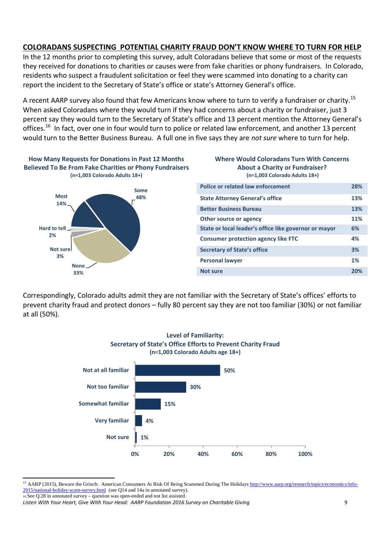## **COLORADANS SUSPECTING POTENTIAL CHARITY FRAUD DON'T KNOW WHERE TO TURN FOR HELP**

In the 12 months prior to completing this survey, adult Coloradans believe that some or most of the requests they received for donations to charities or causes were from fake charities or phony fundraisers. In Colorado, residents who suspect a fraudulent solicitation or feel they were scammed into donating to a charity can report the incident to the Secretary of State's office or state's Attorney General's office.

A recent AARP survey also found that few Americans know where to turn to verify a fundraiser or charity.<sup>15</sup> When asked Coloradans where they would turn if they had concerns about a charity or fundraiser, just 3 percent say they would turn to the Secretary of State's office and 13 percent mention the Attorney General's offices.<sup>16</sup> In fact, over one in four would turn to police or related law enforcement, and another 13 percent would turn to the Better Business Bureau. A full one in five says they are not sure where to turn for help.

## **How Many Requests for Donations in Past 12 Months Believed To Be From Fake Charities or Phony Fundraisers** (n=1,003 Colorado Adults 18+)



#### **Where Would Coloradans Turn With Concerns About a Charity or Fundraiser?** (n=1,003 Colorado Adults 18+)

| <b>Police or related law enforcement</b>              | 28% |
|-------------------------------------------------------|-----|
| <b>State Attorney General's office</b>                | 13% |
| <b>Better Business Bureau</b>                         | 13% |
| Other source or agency                                | 11% |
| State or local leader's office like governor or mayor | 6%  |
| <b>Consumer protection agency like FTC</b>            | 4%  |
| <b>Secretary of State's office</b>                    | 3%  |
| <b>Personal lawyer</b>                                | 1%  |
| Not sure                                              | 20% |

Correspondingly, Colorado adults admit they are not familiar with the Secretary of State's offices' efforts to prevent charity fraud and protect donors - fully 80 percent say they are not too familiar (30%) or not familiar at all (50%).



<sup>&</sup>lt;sup>15</sup> AARP (2015), Beware the Grinch: American Consumers At Risk Of Being Scammed During The Holidays http://www.aarp.org/research/topics/economics/info-2015/national-holiday-scam-survey.html (see Q14 and 14a in annotated survey). 16 See Q.28 in annotated survey - question was open-ended and not list assisted.

Listen With Your Heart, Give With Your Head: AARP Foundation 2016 Survey on Charitable Giving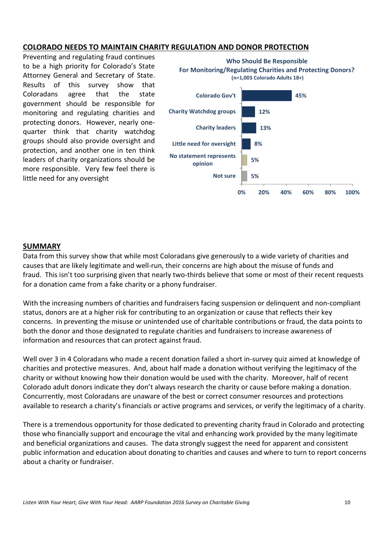### **COLORADO NEEDS TO MAINTAIN CHARITY REGULATION AND DONOR PROTECTION**

Preventing and regulating fraud continues to be a high priority for Colorado's State Attorney General and Secretary of State. Results of this survey show that Coloradans agree the that state government should be responsible for monitoring and regulating charities and protecting donors. However, nearly onequarter think that charity watchdog groups should also provide oversight and protection, and another one in ten think leaders of charity organizations should be more responsible. Very few feel there is little need for any oversight



#### **SUMMARY**

Data from this survey show that while most Coloradans give generously to a wide variety of charities and causes that are likely legitimate and well-run, their concerns are high about the misuse of funds and fraud. This isn't too surprising given that nearly two-thirds believe that some or most of their recent requests for a donation came from a fake charity or a phony fundraiser.

With the increasing numbers of charities and fundraisers facing suspension or delinguent and non-compliant status, donors are at a higher risk for contributing to an organization or cause that reflects their key concerns. In preventing the misuse or unintended use of charitable contributions or fraud, the data points to both the donor and those designated to regulate charities and fundraisers to increase awareness of information and resources that can protect against fraud.

Well over 3 in 4 Coloradans who made a recent donation failed a short in-survey quiz aimed at knowledge of charities and protective measures. And, about half made a donation without verifying the legitimacy of the charity or without knowing how their donation would be used with the charity. Moreover, half of recent Colorado adult donors indicate they don't always research the charity or cause before making a donation. Concurrently, most Coloradans are unaware of the best or correct consumer resources and protections available to research a charity's financials or active programs and services, or verify the legitimacy of a charity.

There is a tremendous opportunity for those dedicated to preventing charity fraud in Colorado and protecting those who financially support and encourage the vital and enhancing work provided by the many legitimate and beneficial organizations and causes. The data strongly suggest the need for apparent and consistent public information and education about donating to charities and causes and where to turn to report concerns about a charity or fundraiser.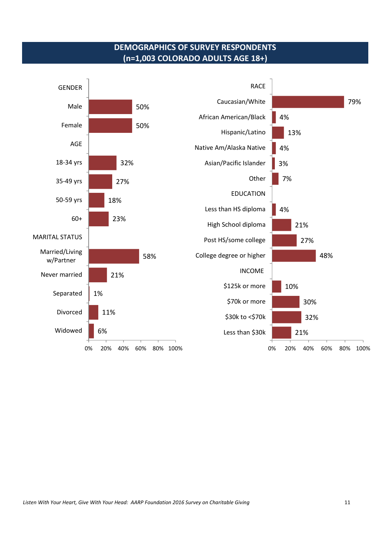## **DEMOGRAPHICS OF SURVEY RESPONDENTS** (n=1,003 COLORADO ADULTS AGE 18+)

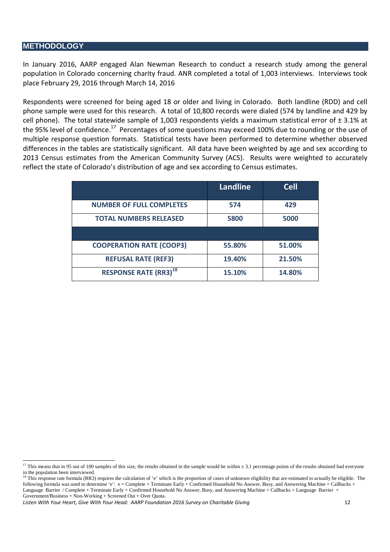#### **METHODOLOGY**

In January 2016, AARP engaged Alan Newman Research to conduct a research study among the general population in Colorado concerning charity fraud. ANR completed a total of 1,003 interviews. Interviews took place February 29, 2016 through March 14, 2016

Respondents were screened for being aged 18 or older and living in Colorado. Both landline (RDD) and cell phone sample were used for this research. A total of 10,800 records were dialed (574 by landline and 429 by cell phone). The total statewide sample of 1,003 respondents yields a maximum statistical error of  $\pm$  3.1% at the 95% level of confidence.<sup>17</sup> Percentages of some questions may exceed 100% due to rounding or the use of multiple response question formats. Statistical tests have been performed to determine whether observed differences in the tables are statistically significant. All data have been weighted by age and sex according to 2013 Census estimates from the American Community Survey (ACS). Results were weighted to accurately reflect the state of Colorado's distribution of age and sex according to Census estimates.

|                                          | <b>Landline</b> | <b>Cell</b> |
|------------------------------------------|-----------------|-------------|
| <b>NUMBER OF FULL COMPLETES</b>          | 574             | 429         |
| <b>TOTAL NUMBERS RELEASED</b>            | 5800            | 5000        |
|                                          |                 |             |
| <b>COOPERATION RATE (COOP3)</b>          | 55.80%          | 51.00%      |
| <b>REFUSAL RATE (REF3)</b>               | 19.40%          | 21.50%      |
| <b>RESPONSE RATE (RR3)</b> <sup>18</sup> | 15.10%          | 14.80%      |

Listen With Your Heart, Give With Your Head: AARP Foundation 2016 Survey on Charitable Giving 12

<sup>&</sup>lt;sup>17</sup> This means that in 95 out of 100 samples of this size, the results obtained in the sample would be within  $\pm$  3.1 percentage points of the results obtained had everyone in the population been interviewed.

<sup>&</sup>lt;sup>18</sup> This response rate formula (RR3) requires the calculation of 'e' which is the proportion of cases of unknown eligibility that are estimated to actually be eligible. The following formula was used to determine 'e': e = Complete + Terminate Early + Confirmed Household No Answer, Busy, and Answering Machine + Callbacks + Language Barrier / Complete + Terminate Early + Confirmed Household No Answer, Busy, and Answering Machine + Callbacks + Language Barrier + Government/Business + Non-Working + Screened Out + Over Quota.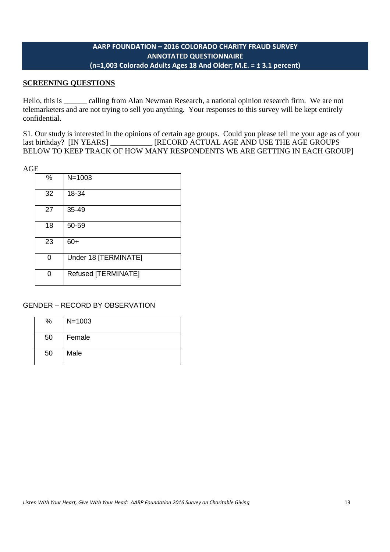## **AARP FOUNDATION – 2016 COLORADO CHARITY FRAUD SURVEY ANNOTATED QUESTIONNAIRE (n=1,003 Colorado Adults Ages 18 And Older; M.E. = ± 3.1 percent)**

## **SCREENING QUESTIONS**

Hello, this is \_\_\_\_\_\_ calling from Alan Newman Research, a national opinion research firm. We are not telemarketers and are not trying to sell you anything. Your responses to this survey will be kept entirely confidential.

S1. Our study is interested in the opinions of certain age groups. Could you please tell me your age as of your last birthday? [IN YEARS] \_\_\_\_\_\_\_\_\_\_\_ [RECORD ACTUAL AGE AND USE THE AGE GROUPS BELOW TO KEEP TRACK OF HOW MANY RESPONDENTS WE ARE GETTING IN EACH GROUP]

| -- |    |                      |
|----|----|----------------------|
|    | %  | $N = 1003$           |
|    | 32 | 18-34                |
|    | 27 | $35 - 49$            |
|    | 18 | 50-59                |
|    | 23 | $60+$                |
|    | O  | Under 18 [TERMINATE] |
|    | ∩  | Refused [TERMINATE]  |

GENDER – RECORD BY OBSERVATION

| %  | $N = 1003$ |
|----|------------|
| 50 | Female     |
| 50 | Male       |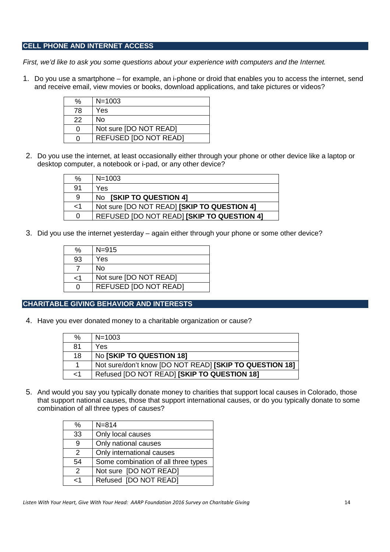### **CELL PHONE AND INTERNET ACCESS**

*First, we'd like to ask you some questions about your experience with computers and the Internet.*

1. Do you use a smartphone – for example, an i-phone or droid that enables you to access the internet, send and receive email, view movies or books, download applications, and take pictures or videos?

| %  | $N = 1003$                   |
|----|------------------------------|
| 78 | Yes                          |
| 22 | No                           |
| 0  | Not sure [DO NOT READ]       |
| ი  | <b>REFUSED [DO NOT READ]</b> |

2. Do you use the internet, at least occasionally either through your phone or other device like a laptop or desktop computer, a notebook or i-pad, or any other device?

| ℅  | $N = 1003$                                  |
|----|---------------------------------------------|
| 91 | Yes                                         |
| 9  | No [SKIP TO QUESTION 4]                     |
| -1 | Not sure [DO NOT READ] [SKIP TO QUESTION 4] |
| 0  | REFUSED [DO NOT READ] [SKIP TO QUESTION 4]  |

3. Did you use the internet yesterday – again either through your phone or some other device?

| %   | $N = 915$              |
|-----|------------------------|
| 93  | Yes                    |
|     | No                     |
| ا > | Not sure [DO NOT READ] |
| O   | REFUSED [DO NOT READ]  |

#### **CHARITABLE GIVING BEHAVIOR AND INTERESTS**

4. Have you ever donated money to a charitable organization or cause?

| $\%$     | $N = 1003$                                              |
|----------|---------------------------------------------------------|
| 81       | Yes                                                     |
| 18       | No [SKIP TO QUESTION 18]                                |
| 1        | Not sure/don't know [DO NOT READ] [SKIP TO QUESTION 18] |
| $\leq$ 1 | Refused [DO NOT READ] [SKIP TO QUESTION 18]             |

5. And would you say you typically donate money to charities that support local causes in Colorado, those that support national causes, those that support international causes, or do you typically donate to some combination of all three types of causes?

| ℅             | $N = 814$                           |
|---------------|-------------------------------------|
| 33            | Only local causes                   |
| 9             | Only national causes                |
| $\mathcal{P}$ | Only international causes           |
| 54            | Some combination of all three types |
| $\mathcal{P}$ | Not sure [DO NOT READ]              |
| 4ء            | Refused [DO NOT READ]               |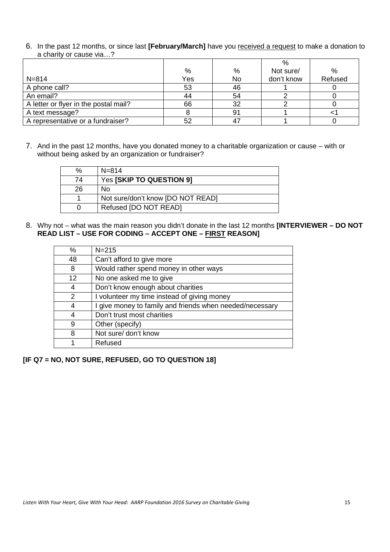6. In the past 12 months, or since last **[February/March]** have you received a request to make a donation to a charity or cause via…?

|                                       |     |    | $\%$       |         |
|---------------------------------------|-----|----|------------|---------|
|                                       | %   | %  | Not sure/  | %       |
| $N = 814$                             | Yes | No | don't know | Refused |
| A phone call?                         | 53  | 46 |            |         |
| An email?                             | 44  | 54 |            |         |
| A letter or flyer in the postal mail? | 66  | 32 |            |         |
| A text message?                       |     | 91 |            |         |
| A representative or a fundraiser?     | 52  |    |            |         |

7. And in the past 12 months, have you donated money to a charitable organization or cause – with or without being asked by an organization or fundraiser?

| ℅  | $N = 814$                         |
|----|-----------------------------------|
| 74 | Yes [SKIP TO QUESTION 9]          |
| 26 | No                                |
|    | Not sure/don't know [DO NOT READ] |
|    | Refused [DO NOT READ]             |

8. Why not – what was the main reason you didn't donate in the last 12 months **[INTERVIEWER – DO NOT READ LIST – USE FOR CODING – ACCEPT ONE – FIRST REASON]**

| %  | $N = 215$                                                |
|----|----------------------------------------------------------|
| 48 | Can't afford to give more                                |
| 8  | Would rather spend money in other ways                   |
| 12 | No one asked me to give                                  |
| 4  | Don't know enough about charities                        |
| 2  | I volunteer my time instead of giving money              |
| 4  | I give money to family and friends when needed/necessary |
| 4  | Don't trust most charities                               |
| 9  | Other (specify)                                          |
| 8  | Not sure/ don't know                                     |
|    | Refused                                                  |

**[IF Q7 = NO, NOT SURE, REFUSED, GO TO QUESTION 18]**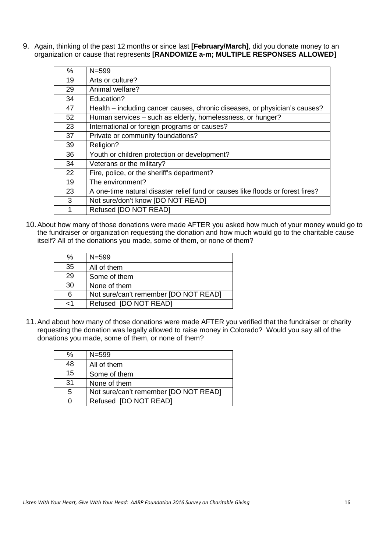9. Again, thinking of the past 12 months or since last **[February/March]**, did you donate money to an organization or cause that represents **[RANDOMIZE a-m; MULTIPLE RESPONSES ALLOWED]**

| %  | $N = 599$                                                                      |
|----|--------------------------------------------------------------------------------|
| 19 | Arts or culture?                                                               |
| 29 | Animal welfare?                                                                |
| 34 | Education?                                                                     |
| 47 | Health – including cancer causes, chronic diseases, or physician's causes?     |
| 52 | Human services – such as elderly, homelessness, or hunger?                     |
| 23 | International or foreign programs or causes?                                   |
| 37 | Private or community foundations?                                              |
| 39 | Religion?                                                                      |
| 36 | Youth or children protection or development?                                   |
| 34 | Veterans or the military?                                                      |
| 22 | Fire, police, or the sheriff's department?                                     |
| 19 | The environment?                                                               |
| 23 | A one-time natural disaster relief fund or causes like floods or forest fires? |
| 3  | Not sure/don't know [DO NOT READ]                                              |
| 1  | Refused [DO NOT READ]                                                          |

10.About how many of those donations were made AFTER you asked how much of your money would go to the fundraiser or organization requesting the donation and how much would go to the charitable cause itself? All of the donations you made, some of them, or none of them?

| ℅            | $N = 599$                             |
|--------------|---------------------------------------|
| 35           | All of them                           |
| 29           | Some of them                          |
| 30           | None of them                          |
| 6            | Not sure/can't remember [DO NOT READ] |
| $\epsilon$ 1 | Refused [DO NOT READ]                 |

11.And about how many of those donations were made AFTER you verified that the fundraiser or charity requesting the donation was legally allowed to raise money in Colorado? Would you say all of the donations you made, some of them, or none of them?

| ℅  | $N = 599$                             |
|----|---------------------------------------|
| 48 | All of them                           |
| 15 | Some of them                          |
| 31 | None of them                          |
| 5  | Not sure/can't remember [DO NOT READ] |
| 0  | Refused [DO NOT READ]                 |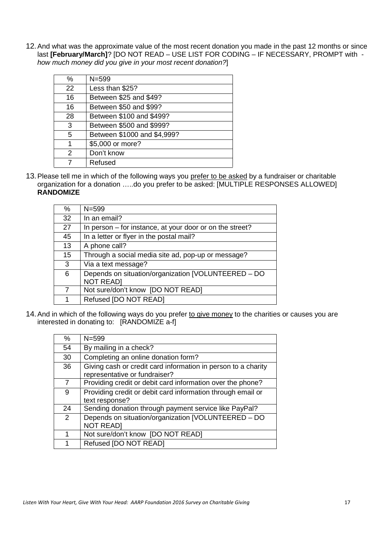12.And what was the approximate value of the most recent donation you made in the past 12 months or since last **[February/March]**? [DO NOT READ – USE LIST FOR CODING – IF NECESSARY, PROMPT with *how much money did you give in your most recent donation?*]

| $\%$ | $N = 599$                   |
|------|-----------------------------|
| 22   | Less than \$25?             |
| 16   | Between \$25 and \$49?      |
| 16   | Between \$50 and \$99?      |
| 28   | Between \$100 and \$499?    |
| 3    | Between \$500 and \$999?    |
| 5    | Between \$1000 and \$4,999? |
| 1    | \$5,000 or more?            |
| 2    | Don't know                  |
|      | Refused                     |

13.Please tell me in which of the following ways you prefer to be asked by a fundraiser or charitable organization for a donation …..do you prefer to be asked: [MULTIPLE RESPONSES ALLOWED] **RANDOMIZE**

| %  | $N = 599$                                                |
|----|----------------------------------------------------------|
| 32 | In an email?                                             |
| 27 | In person – for instance, at your door or on the street? |
| 45 | In a letter or flyer in the postal mail?                 |
| 13 | A phone call?                                            |
| 15 | Through a social media site ad, pop-up or message?       |
| 3  | Via a text message?                                      |
| 6  | Depends on situation/organization [VOLUNTEERED - DO      |
|    | <b>NOT READ]</b>                                         |
|    | Not sure/don't know [DO NOT READ]                        |
|    | Refused [DO NOT READ]                                    |
|    |                                                          |

14. And in which of the following ways do you prefer to give money to the charities or causes you are interested in donating to: [RANDOMIZE a-f]

| %              | $N = 599$                                                     |
|----------------|---------------------------------------------------------------|
| 54             | By mailing in a check?                                        |
| 30             | Completing an online donation form?                           |
| 36             | Giving cash or credit card information in person to a charity |
|                | representative or fundraiser?                                 |
| 7              | Providing credit or debit card information over the phone?    |
| 9              | Providing credit or debit card information through email or   |
|                | text response?                                                |
| 24             | Sending donation through payment service like PayPal?         |
| $\overline{2}$ | Depends on situation/organization [VOLUNTEERED - DO           |
|                | <b>NOT READ]</b>                                              |
| 1              | Not sure/don't know [DO NOT READ]                             |
| 1              | Refused [DO NOT READ]                                         |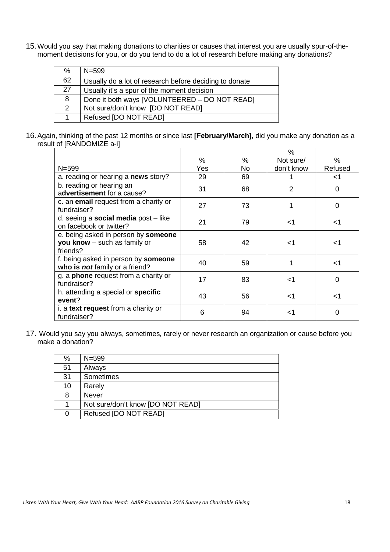15.Would you say that making donations to charities or causes that interest you are usually spur-of-themoment decisions for you, or do you tend to do a lot of research before making any donations?

| %              | $N = 599$                                              |
|----------------|--------------------------------------------------------|
| 62             | Usually do a lot of research before deciding to donate |
| 27             | Usually it's a spur of the moment decision             |
| 8              | Done it both ways [VOLUNTEERED - DO NOT READ]          |
| $\overline{2}$ | Not sure/don't know [DO NOT READ]                      |
|                | Refused [DO NOT READ]                                  |

16.Again, thinking of the past 12 months or since last **[February/March]**, did you make any donation as a result of [RANDOMIZE a-i]

|                                                                                          |     |    | $\%$       |          |
|------------------------------------------------------------------------------------------|-----|----|------------|----------|
|                                                                                          | %   | %  | Not sure/  | ℅        |
| $N = 599$                                                                                | Yes | No | don't know | Refused  |
| a. reading or hearing a news story?                                                      | 29  | 69 |            | <1       |
| b. reading or hearing an<br>advertisement for a cause?                                   | 31  | 68 | 2          | 0        |
| c. an email request from a charity or<br>fundraiser?                                     | 27  | 73 |            | 0        |
| d. seeing a social media post - like<br>on facebook or twitter?                          | 21  | 79 | ا>         | ا>       |
| e. being asked in person by <b>someone</b><br>you know $-$ such as family or<br>friends? | 58  | 42 | ا>         | -1       |
| f. being asked in person by someone<br>who is not family or a friend?                    | 40  | 59 | 1          | ا>       |
| g. a <b>phone</b> request from a charity or<br>fundraiser?                               | 17  | 83 | ا>         | $\Omega$ |
| h. attending a special or specific<br>event?                                             | 43  | 56 | ا>         | <1       |
| i. a text request from a charity or<br>fundraiser?                                       | 6   | 94 | <1         | 0        |

17. Would you say you always, sometimes, rarely or never research an organization or cause before you make a donation?

| %  | $N = 599$                         |
|----|-----------------------------------|
| 51 | Always                            |
| 31 | Sometimes                         |
| 10 | Rarely                            |
| 8  | <b>Never</b>                      |
|    | Not sure/don't know [DO NOT READ] |
| 0  | Refused [DO NOT READ]             |
|    |                                   |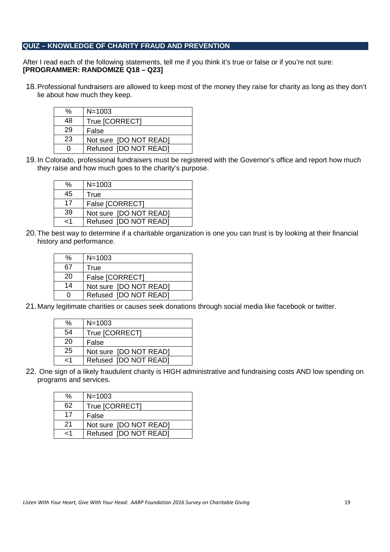#### **QUIZ – KNOWLEDGE OF CHARITY FRAUD AND PREVENTION**

After I read each of the following statements, tell me if you think it's true or false or if you're not sure: **[PROGRAMMER: RANDOMIZE Q18 – Q23]**

18.Professional fundraisers are allowed to keep most of the money they raise for charity as long as they don't lie about how much they keep.

| %  | $N = 1003$             |
|----|------------------------|
| 48 | True [CORRECT]         |
| 29 | False                  |
| 23 | Not sure [DO NOT READ] |
| O  | Refused [DO NOT READ]  |

19.In Colorado, professional fundraisers must be registered with the Governor's office and report how much they raise and how much goes to the charity's purpose.

| %  | $N = 1003$             |
|----|------------------------|
| 45 | True                   |
| 17 | False [CORRECT]        |
| 39 | Not sure [DO NOT READ] |
| -1 | Refused [DO NOT READ]  |

20.The best way to determine if a charitable organization is one you can trust is by looking at their financial history and performance.

| $\%$ | $N = 1003$             |
|------|------------------------|
| 67   | True                   |
| 20   | False [CORRECT]        |
| 14   | Not sure [DO NOT READ] |
| ი    | Refused [DO NOT READ]  |

21.Many legitimate charities or causes seek donations through social media like facebook or twitter.

| %            | $N = 1003$             |
|--------------|------------------------|
| 54           | True [CORRECT]         |
| 20           | False                  |
| 25           | Not sure [DO NOT READ] |
| $\epsilon$ 1 | Refused [DO NOT READ]  |

22. One sign of a likely fraudulent charity is HIGH administrative and fundraising costs AND low spending on programs and services.

| %   | $N = 1003$             |
|-----|------------------------|
| 62  | True [CORRECT]         |
| 17  | False                  |
| -21 | Not sure [DO NOT READ] |
| ہ ۔ | Refused [DO NOT READ]  |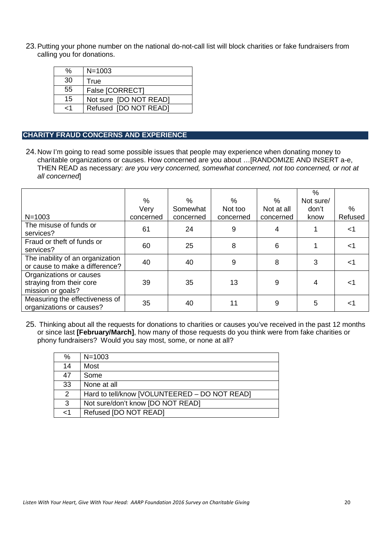23.Putting your phone number on the national do-not-call list will block charities or fake fundraisers from calling you for donations.

| %   | $N = 1003$             |
|-----|------------------------|
| 30  | True                   |
| 55  | False [CORRECT]        |
| 15  | Not sure [DO NOT READ] |
| ہ ۔ | Refused [DO NOT READ]  |

## **CHARITY FRAUD CONCERNS AND EXPERIENCE**

24.Now I'm going to read some possible issues that people may experience when donating money to charitable organizations or causes. How concerned are you about …[RANDOMIZE AND INSERT a-e, THEN READ as necessary: *are you very concerned, somewhat concerned, not too concerned, or not at all concerned*]

|                                                                          |           |           |           |            | $\%$      |         |
|--------------------------------------------------------------------------|-----------|-----------|-----------|------------|-----------|---------|
|                                                                          | %         | %         | %         | $\%$       | Not sure/ |         |
|                                                                          | Very      | Somewhat  | Not too   | Not at all | don't     | %       |
| $N = 1003$                                                               | concerned | concerned | concerned | concerned  | know      | Refused |
| The misuse of funds or<br>services?                                      | 61        | 24        | 9         | 4          |           | <1      |
| Fraud or theft of funds or<br>services?                                  | 60        | 25        | 8         | 6          |           | م -     |
| The inability of an organization<br>or cause to make a difference?       | 40        | 40        | 9         | 8          | 3         | ہ ۔     |
| Organizations or causes<br>straying from their core<br>mission or goals? | 39        | 35        | 13        | 9          | 4         | $<$ 1   |
| Measuring the effectiveness of<br>organizations or causes?               | 35        | 40        | 11        | 9          | 5         | <1      |

25. Thinking about all the requests for donations to charities or causes you've received in the past 12 months or since last **[February/March]**, how many of those requests do you think were from fake charities or phony fundraisers? Would you say most, some, or none at all?

| %              | $N = 1003$                                    |
|----------------|-----------------------------------------------|
| 14             | Most                                          |
| 47             | Some                                          |
| 33             | None at all                                   |
| $\overline{2}$ | Hard to tell/know [VOLUNTEERED – DO NOT READ] |
| 3              | Not sure/don't know [DO NOT READ]             |
| $<$ 1          | Refused [DO NOT READ]                         |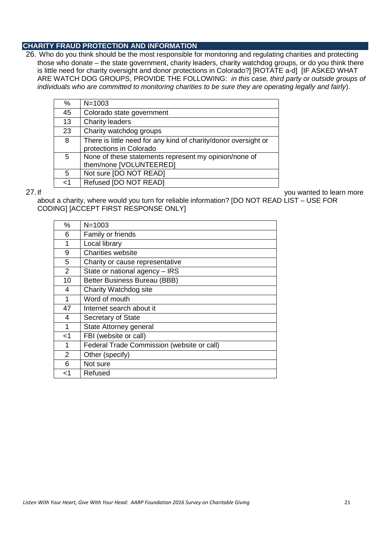#### **CHARITY FRAUD PROTECTION AND INFORMATION**

26. Who do you think should be the most responsible for monitoring and regulating charities and protecting those who donate – the state government, charity leaders, charity watchdog groups, or do you think there is little need for charity oversight and donor protections in Colorado?] [ROTATE a-d] [IF ASKED WHAT ARE WATCH DOG GROUPS, PROVIDE THE FOLLOWING: *in this case, third party or outside groups of individuals who are committed to monitoring charities to be sure they are operating legally and fairly*).

| %  | $N = 1003$                                                      |
|----|-----------------------------------------------------------------|
| 45 | Colorado state government                                       |
| 13 | <b>Charity leaders</b>                                          |
| 23 | Charity watchdog groups                                         |
| 8  | There is little need for any kind of charity/donor oversight or |
|    | protections in Colorado                                         |
| 5  | None of these statements represent my opinion/none of           |
|    | them/none [VOLUNTEERED]                                         |
| 5  | Not sure [DO NOT READ]                                          |
| -1 | Refused [DO NOT READ]                                           |

27. If you wanted to learn more

about a charity, where would you turn for reliable information? [DO NOT READ LIST – USE FOR CODING] [ACCEPT FIRST RESPONSE ONLY]

| %              | $N = 1003$                                 |
|----------------|--------------------------------------------|
| 6              | Family or friends                          |
| 1              | Local library                              |
| 9              | Charities website                          |
| 5              | Charity or cause representative            |
| $\overline{2}$ | State or national agency - IRS             |
| 10             | <b>Better Business Bureau (BBB)</b>        |
| 4              | Charity Watchdog site                      |
| 1              | Word of mouth                              |
| 47             | Internet search about it                   |
| 4              | Secretary of State                         |
| 1              | State Attorney general                     |
| ا>             | FBI (website or call)                      |
| 1              | Federal Trade Commission (website or call) |
| $\overline{2}$ | Other (specify)                            |
| 6              | Not sure                                   |
| ا>             | Refused                                    |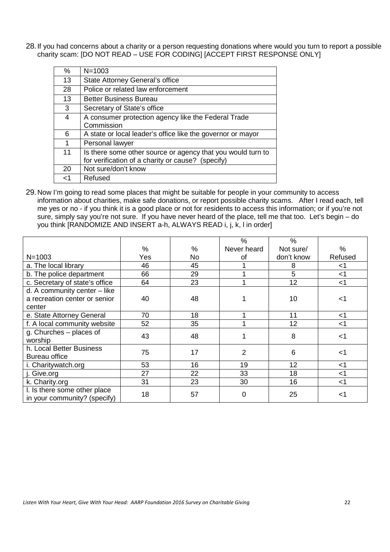28.If you had concerns about a charity or a person requesting donations where would you turn to report a possible charity scam: [DO NOT READ – USE FOR CODING] [ACCEPT FIRST RESPONSE ONLY]

| $\%$ | $N = 1003$                                                                                                       |
|------|------------------------------------------------------------------------------------------------------------------|
| 13   | State Attorney General's office                                                                                  |
| 28   | Police or related law enforcement                                                                                |
| 13   | Better Business Bureau                                                                                           |
| 3    | Secretary of State's office                                                                                      |
| 4    | A consumer protection agency like the Federal Trade<br>Commission                                                |
| 6    | A state or local leader's office like the governor or mayor                                                      |
| 1    | Personal lawyer                                                                                                  |
| 11   | Is there some other source or agency that you would turn to<br>for verification of a charity or cause? (specify) |
| 20   | Not sure/don't know                                                                                              |
| ا>   | Refused                                                                                                          |

29.Now I'm going to read some places that might be suitable for people in your community to access information about charities, make safe donations, or report possible charity scams. After I read each, tell me yes or no - if you think it is a good place or not for residents to access this information; or if you're not sure, simply say you're not sure. If you have never heard of the place, tell me that too. Let's begin – do you think [RANDOMIZE AND INSERT a-h, ALWAYS READ i, j, k, l in order]

|                                                              |     |     | %           | $\%$       |         |
|--------------------------------------------------------------|-----|-----|-------------|------------|---------|
|                                                              | %   | %   | Never heard | Not sure/  | %       |
| $N = 1003$                                                   | Yes | No. | οf          | don't know | Refused |
| a. The local library                                         | 46  | 45  |             | 8          | <1      |
| b. The police department                                     | 66  | 29  |             | 5          | $<$ 1   |
| c. Secretary of state's office                               | 64  | 23  |             | 12         | $<$ 1   |
| d. A community center - like                                 |     |     |             |            |         |
| a recreation center or senior                                | 40  | 48  |             | 10         | <1      |
| center                                                       |     |     |             |            |         |
| e. State Attorney General                                    | 70  | 18  |             | 11         | $<$ 1   |
| f. A local community website                                 | 52  | 35  |             | 12         | $<$ 1   |
| g. Churches – places of                                      | 43  | 48  |             | 8          | $<$ 1   |
| worship                                                      |     |     |             |            |         |
| h. Local Better Business                                     | 75  | 17  | 2           | 6          | $<$ 1   |
| <b>Bureau office</b>                                         |     |     |             |            |         |
| i. Charitywatch.org                                          | 53  | 16  | 19          | 12         | $<$ 1   |
| j. Give.org                                                  | 27  | 22  | 33          | 18         | $<$ 1   |
| k. Charity.org                                               | 31  | 23  | 30          | 16         | $<$ 1   |
| I. Is there some other place<br>in your community? (specify) | 18  | 57  | 0           | 25         | <1      |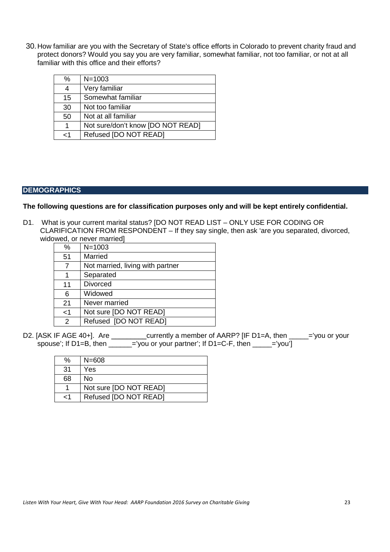30.How familiar are you with the Secretary of State's office efforts in Colorado to prevent charity fraud and protect donors? Would you say you are very familiar, somewhat familiar, not too familiar, or not at all familiar with this office and their efforts?

| %        | $N = 1003$                        |
|----------|-----------------------------------|
| 4        | Very familiar                     |
| 15       | Somewhat familiar                 |
| 30       | Not too familiar                  |
| 50       | Not at all familiar               |
| 1        | Not sure/don't know [DO NOT READ] |
| $\leq$ 1 | Refused [DO NOT READ]             |

### **DEMOGRAPHICS**

#### **The following questions are for classification purposes only and will be kept entirely confidential.**

D1. What is your current marital status? [DO NOT READ LIST – ONLY USE FOR CODING OR CLARIFICATION FROM RESPONDENT – If they say single, then ask 'are you separated, divorced, widowed, or never married]

| %     | $N = 1003$                       |
|-------|----------------------------------|
| 51    | Married                          |
| 7     | Not married, living with partner |
| 1     | Separated                        |
| 11    | <b>Divorced</b>                  |
| 6     | Widowed                          |
| 21    | Never married                    |
| $<$ 1 | Not sure [DO NOT READ]           |
| 2     | Refused [DO NOT READ]            |

D2. [ASK IF AGE 40+]. Are \_\_\_\_\_\_\_\_\_currently a member of AARP? [IF D1=A, then \_\_\_\_\_='you or your spouse'; If D1=B, then \_\_\_\_\_\_='you or your partner'; If D1=C-F, then \_\_\_\_\_='you']

| ℅               | $N = 608$              |
|-----------------|------------------------|
| $\overline{31}$ | Yes                    |
| 68              | No                     |
| 1               | Not sure [DO NOT READ] |
| $\epsilon$ 1    | Refused [DO NOT READ]  |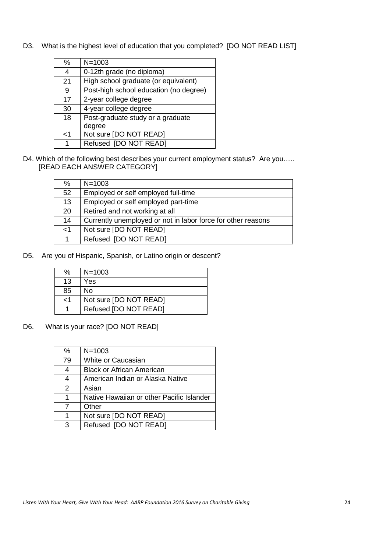D3. What is the highest level of education that you completed? [DO NOT READ LIST]

| %   | $N = 1003$                             |  |
|-----|----------------------------------------|--|
| 4   | 0-12th grade (no diploma)              |  |
| 21  | High school graduate (or equivalent)   |  |
| 9   | Post-high school education (no degree) |  |
| 17  | 2-year college degree                  |  |
| 30  | 4-year college degree                  |  |
| 18  | Post-graduate study or a graduate      |  |
|     | degree                                 |  |
| ا > | Not sure [DO NOT READ]                 |  |
| 1   | Refused [DO NOT READ]                  |  |

D4. Which of the following best describes your current employment status? Are you..... [READ EACH ANSWER CATEGORY]

| $\%$  | $N = 1003$                                                   |
|-------|--------------------------------------------------------------|
| 52    | Employed or self employed full-time                          |
| 13    | Employed or self employed part-time                          |
| 20    | Retired and not working at all                               |
| 14    | Currently unemployed or not in labor force for other reasons |
| $<$ 1 | Not sure [DO NOT READ]                                       |
|       | Refused [DO NOT READ]                                        |

D5. Are you of Hispanic, Spanish, or Latino origin or descent?

| ℅        | $N = 1003$             |
|----------|------------------------|
| 13       | Yes                    |
| 85       | Nο                     |
| $\leq$ 1 | Not sure [DO NOT READ] |
|          | Refused [DO NOT READ]  |

D6. What is your race? [DO NOT READ]

| %  | $N = 1003$                                |
|----|-------------------------------------------|
| 79 | White or Caucasian                        |
| 4  | <b>Black or African American</b>          |
| 4  | American Indian or Alaska Native          |
| 2  | Asian                                     |
| 1  | Native Hawaiian or other Pacific Islander |
| 7  | Other                                     |
| 1  | Not sure [DO NOT READ]                    |
| 3  | Refused [DO NOT READ]                     |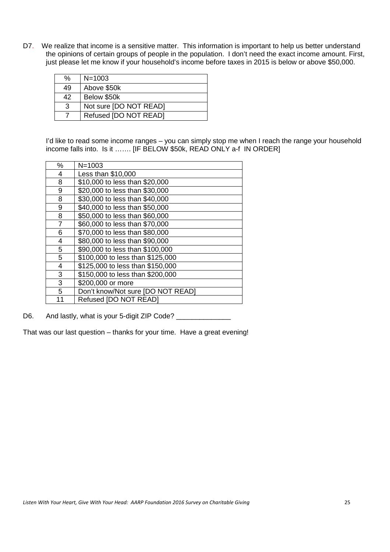D7. We realize that income is a sensitive matter. This information is important to help us better understand the opinions of certain groups of people in the population. I don't need the exact income amount. First, just please let me know if your household's income before taxes in 2015 is below or above \$50,000.

| ℅  | $N = 1003$             |
|----|------------------------|
| 49 | Above \$50k            |
| 42 | Below \$50k            |
| 3  | Not sure [DO NOT READ] |
|    | Refused [DO NOT READ]  |

I'd like to read some income ranges – you can simply stop me when I reach the range your household income falls into. Is it ……. [IF BELOW \$50k, READ ONLY a-f IN ORDER]

| %  | $N = 1003$                        |
|----|-----------------------------------|
| 4  | Less than \$10,000                |
| 8  | \$10,000 to less than \$20,000    |
| 9  | \$20,000 to less than \$30,000    |
| 8  | \$30,000 to less than \$40,000    |
| 9  | \$40,000 to less than \$50,000    |
| 8  | \$50,000 to less than \$60,000    |
| 7  | \$60,000 to less than \$70,000    |
| 6  | \$70,000 to less than \$80,000    |
| 4  | \$80,000 to less than \$90,000    |
| 5  | \$90,000 to less than \$100,000   |
| 5  | \$100,000 to less than \$125,000  |
| 4  | \$125,000 to less than \$150,000  |
| 3  | \$150,000 to less than \$200,000  |
| 3  | \$200,000 or more                 |
| 5  | Don't know/Not sure [DO NOT READ] |
| 11 | Refused [DO NOT READ]             |

D6. And lastly, what is your 5-digit ZIP Code?

That was our last question – thanks for your time. Have a great evening!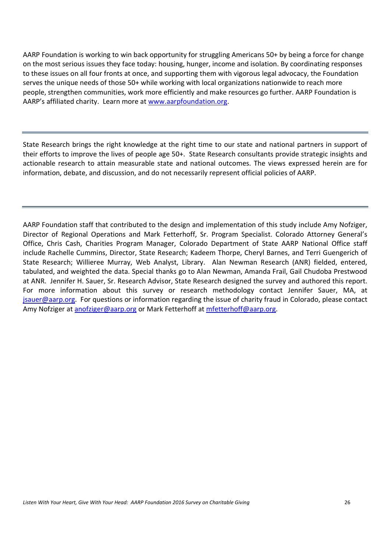AARP Foundation is working to win back opportunity for struggling Americans 50+ by being a force for change on the most serious issues they face today: housing, hunger, income and isolation. By coordinating responses to these issues on all four fronts at once, and supporting them with vigorous legal advocacy, the Foundation serves the unique needs of those 50+ while working with local organizations nationwide to reach more people, strengthen communities, work more efficiently and make resources go further. AARP Foundation is AARP's affiliated charity. Learn more at www.aarpfoundation.org.

State Research brings the right knowledge at the right time to our state and national partners in support of their efforts to improve the lives of people age 50+. State Research consultants provide strategic insights and actionable research to attain measurable state and national outcomes. The views expressed herein are for information, debate, and discussion, and do not necessarily represent official policies of AARP.

AARP Foundation staff that contributed to the design and implementation of this study include Amy Nofziger, Director of Regional Operations and Mark Fetterhoff, Sr. Program Specialist. Colorado Attorney General's Office, Chris Cash, Charities Program Manager, Colorado Department of State AARP National Office staff include Rachelle Cummins, Director, State Research; Kadeem Thorpe, Cheryl Barnes, and Terri Guengerich of State Research: Willieree Murray, Web Analyst, Library, Alan Newman Research (ANR) fielded, entered. tabulated, and weighted the data. Special thanks go to Alan Newman, Amanda Frail, Gail Chudoba Prestwood at ANR. Jennifer H. Sauer, Sr. Research Advisor, State Research designed the survey and authored this report. For more information about this survey or research methodology contact Jennifer Sauer, MA, at isauer@aarp.org. For questions or information regarding the issue of charity fraud in Colorado, please contact Amy Nofziger at anofziger@aarp.org or Mark Fetterhoff at mfetterhoff@aarp.org.